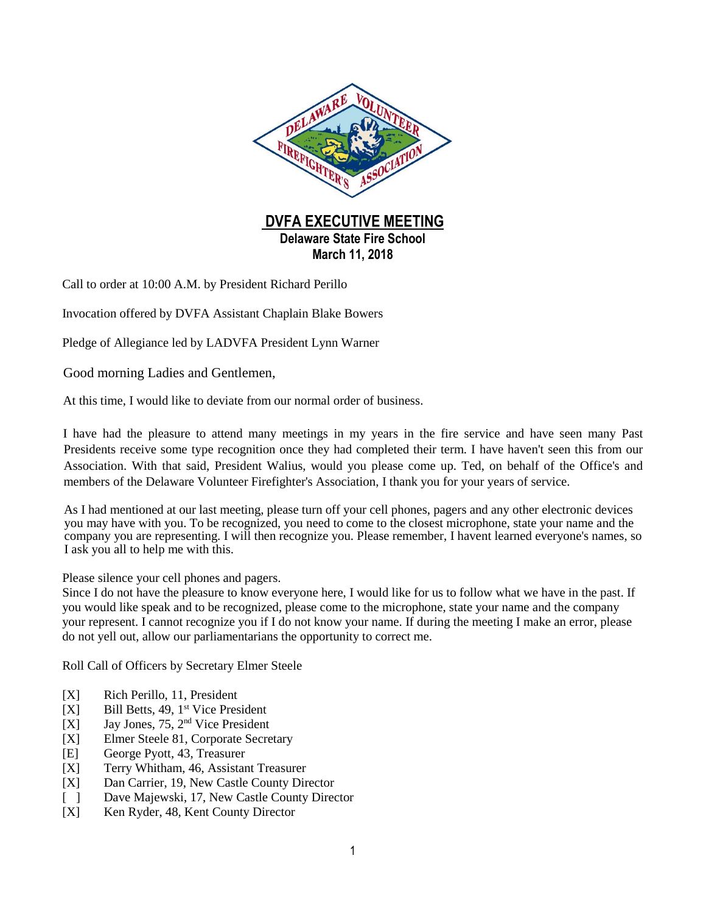

Call to order at 10:00 A.M. by President Richard Perillo

Invocation offered by DVFA Assistant Chaplain Blake Bowers

Pledge of Allegiance led by LADVFA President Lynn Warner

Good morning Ladies and Gentlemen,

At this time, I would like to deviate from our normal order of business.

I have had the pleasure to attend many meetings in my years in the fire service and have seen many Past Presidents receive some type recognition once they had completed their term. I have haven't seen this from our Association. With that said, President Walius, would you please come up. Ted, on behalf of the Office's and members of the Delaware Volunteer Firefighter's Association, I thank you for your years of service.

As I had mentioned at our last meeting, please turn off your cell phones, pagers and any other electronic devices you may have with you. To be recognized, you need to come to the closest microphone, state your name and the company you are representing. I will then recognize you. Please remember, I havent learned everyone's names, so I ask you all to help me with this.

Please silence your cell phones and pagers.

Since I do not have the pleasure to know everyone here, I would like for us to follow what we have in the past. If you would like speak and to be recognized, please come to the microphone, state your name and the company your represent. I cannot recognize you if I do not know your name. If during the meeting I make an error, please do not yell out, allow our parliamentarians the opportunity to correct me.

Roll Call of Officers by Secretary Elmer Steele

- [X] Rich Perillo, 11, President
- $[X]$  Bill Betts, 49, 1<sup>st</sup> Vice President
- $[X]$  Jay Jones, 75, 2<sup>nd</sup> Vice President
- [X] Elmer Steele 81, Corporate Secretary
- [E] George Pyott, 43, Treasurer
- [X] Terry Whitham, 46, Assistant Treasurer
- [X] Dan Carrier, 19, New Castle County Director
- [ ] Dave Majewski, 17, New Castle County Director
- [X] Ken Ryder, 48, Kent County Director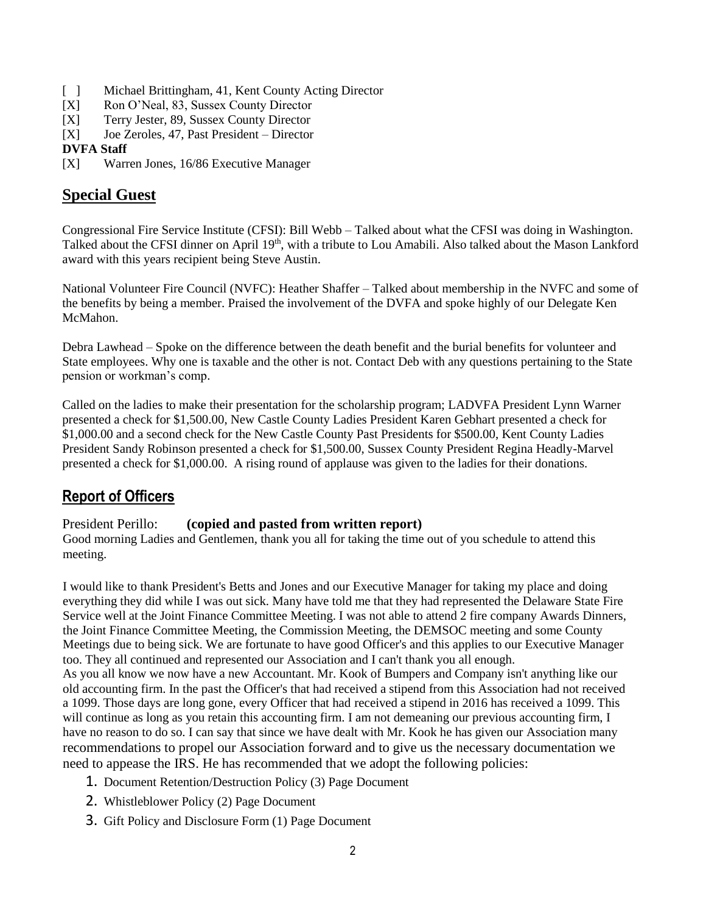- [ ] Michael Brittingham, 41, Kent County Acting Director
- [X] Ron O'Neal, 83, Sussex County Director
- [X] Terry Jester, 89, Sussex County Director
- [X] Joe Zeroles, 47, Past President Director

#### **DVFA Staff**

[X] Warren Jones, 16/86 Executive Manager

## **Special Guest**

Congressional Fire Service Institute (CFSI): Bill Webb – Talked about what the CFSI was doing in Washington. Talked about the CFSI dinner on April 19<sup>th</sup>, with a tribute to Lou Amabili. Also talked about the Mason Lankford award with this years recipient being Steve Austin.

National Volunteer Fire Council (NVFC): Heather Shaffer – Talked about membership in the NVFC and some of the benefits by being a member. Praised the involvement of the DVFA and spoke highly of our Delegate Ken McMahon.

Debra Lawhead – Spoke on the difference between the death benefit and the burial benefits for volunteer and State employees. Why one is taxable and the other is not. Contact Deb with any questions pertaining to the State pension or workman's comp.

Called on the ladies to make their presentation for the scholarship program; LADVFA President Lynn Warner presented a check for \$1,500.00, New Castle County Ladies President Karen Gebhart presented a check for \$1,000.00 and a second check for the New Castle County Past Presidents for \$500.00, Kent County Ladies President Sandy Robinson presented a check for \$1,500.00, Sussex County President Regina Headly-Marvel presented a check for \$1,000.00. A rising round of applause was given to the ladies for their donations.

# **Report of Officers**

#### President Perillo: **(copied and pasted from written report)**

Good morning Ladies and Gentlemen, thank you all for taking the time out of you schedule to attend this meeting.

I would like to thank President's Betts and Jones and our Executive Manager for taking my place and doing everything they did while I was out sick. Many have told me that they had represented the Delaware State Fire Service well at the Joint Finance Committee Meeting. I was not able to attend 2 fire company Awards Dinners, the Joint Finance Committee Meeting, the Commission Meeting, the DEMSOC meeting and some County Meetings due to being sick. We are fortunate to have good Officer's and this applies to our Executive Manager too. They all continued and represented our Association and I can't thank you all enough. As you all know we now have a new Accountant. Mr. Kook of Bumpers and Company isn't anything like our old accounting firm. In the past the Officer's that had received a stipend from this Association had not received a 1099. Those days are long gone, every Officer that had received a stipend in 2016 has received a 1099. This will continue as long as you retain this accounting firm. I am not demeaning our previous accounting firm, I have no reason to do so. I can say that since we have dealt with Mr. Kook he has given our Association many recommendations to propel our Association forward and to give us the necessary documentation we need to appease the IRS. He has recommended that we adopt the following policies:

- 1. Document Retention/Destruction Policy (3) Page Document
- 2. Whistleblower Policy (2) Page Document
- 3. Gift Policy and Disclosure Form (1) Page Document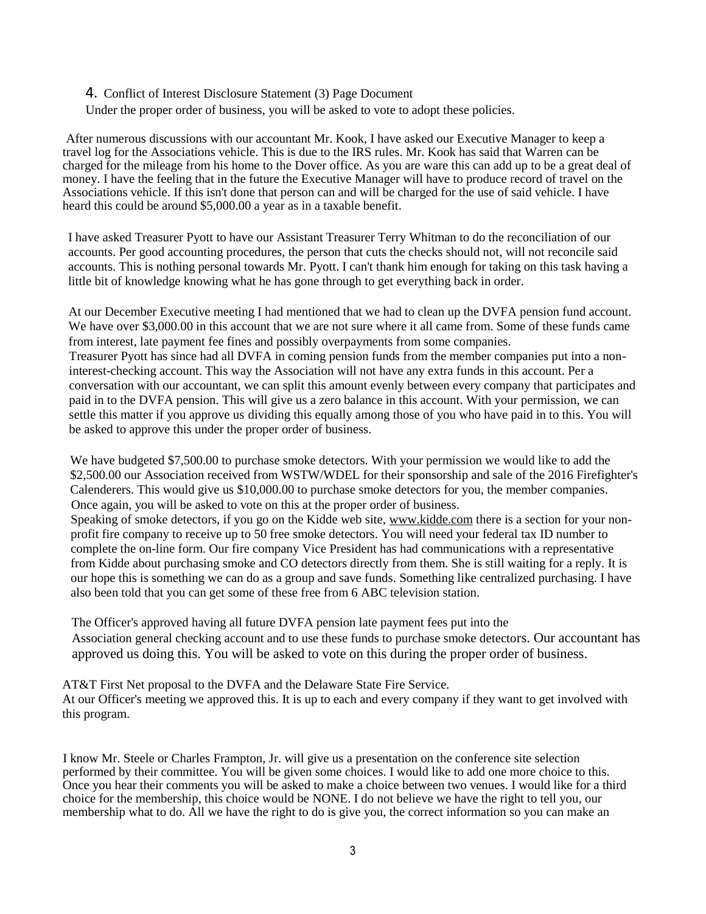#### 4. Conflict of Interest Disclosure Statement (3) Page Document

Under the proper order of business, you will be asked to vote to adopt these policies.

After numerous discussions with our accountant Mr. Kook, I have asked our Executive Manager to keep a travel log for the Associations vehicle. This is due to the IRS rules. Mr. Kook has said that Warren can be charged for the mileage from his home to the Dover office. As you are ware this can add up to be a great deal of money. I have the feeling that in the future the Executive Manager will have to produce record of travel on the Associations vehicle. If this isn't done that person can and will be charged for the use of said vehicle. I have heard this could be around \$5,000.00 a year as in a taxable benefit.

I have asked Treasurer Pyott to have our Assistant Treasurer Terry Whitman to do the reconciliation of our accounts. Per good accounting procedures, the person that cuts the checks should not, will not reconcile said accounts. This is nothing personal towards Mr. Pyott. I can't thank him enough for taking on this task having a little bit of knowledge knowing what he has gone through to get everything back in order.

At our December Executive meeting I had mentioned that we had to clean up the DVFA pension fund account. We have over \$3,000.00 in this account that we are not sure where it all came from. Some of these funds came from interest, late payment fee fines and possibly overpayments from some companies. Treasurer Pyott has since had all DVFA in coming pension funds from the member companies put into a noninterest-checking account. This way the Association will not have any extra funds in this account. Per a conversation with our accountant, we can split this amount evenly between every company that participates and paid in to the DVFA pension. This will give us a zero balance in this account. With your permission, we can settle this matter if you approve us dividing this equally among those of you who have paid in to this. You will be asked to approve this under the proper order of business.

We have budgeted \$7,500.00 to purchase smoke detectors. With your permission we would like to add the \$2,500.00 our Association received from WSTW/WDEL for their sponsorship and sale of the 2016 Firefighter's Calenderers. This would give us \$10,000.00 to purchase smoke detectors for you, the member companies. Once again, you will be asked to vote on this at the proper order of business.

Speaking of smoke detectors, if you go on the Kidde web site, www.kidde.com there is a section for your nonprofit fire company to receive up to 50 free smoke detectors. You will need your federal tax ID number to complete the on-line form. Our fire company Vice President has had communications with a representative from Kidde about purchasing smoke and CO detectors directly from them. She is still waiting for a reply. It is our hope this is something we can do as a group and save funds. Something like centralized purchasing. I have also been told that you can get some of these free from 6 ABC television station.

The Officer's approved having all future DVFA pension late payment fees put into the Association general checking account and to use these funds to purchase smoke detectors. Our accountant has approved us doing this. You will be asked to vote on this during the proper order of business.

AT&T First Net proposal to the DVFA and the Delaware State Fire Service. At our Officer's meeting we approved this. It is up to each and every company if they want to get involved with this program.

I know Mr. Steele or Charles Frampton, Jr. will give us a presentation on the conference site selection performed by their committee. You will be given some choices. I would like to add one more choice to this. Once you hear their comments you will be asked to make a choice between two venues. I would like for a third choice for the membership, this choice would be NONE. I do not believe we have the right to tell you, our membership what to do. All we have the right to do is give you, the correct information so you can make an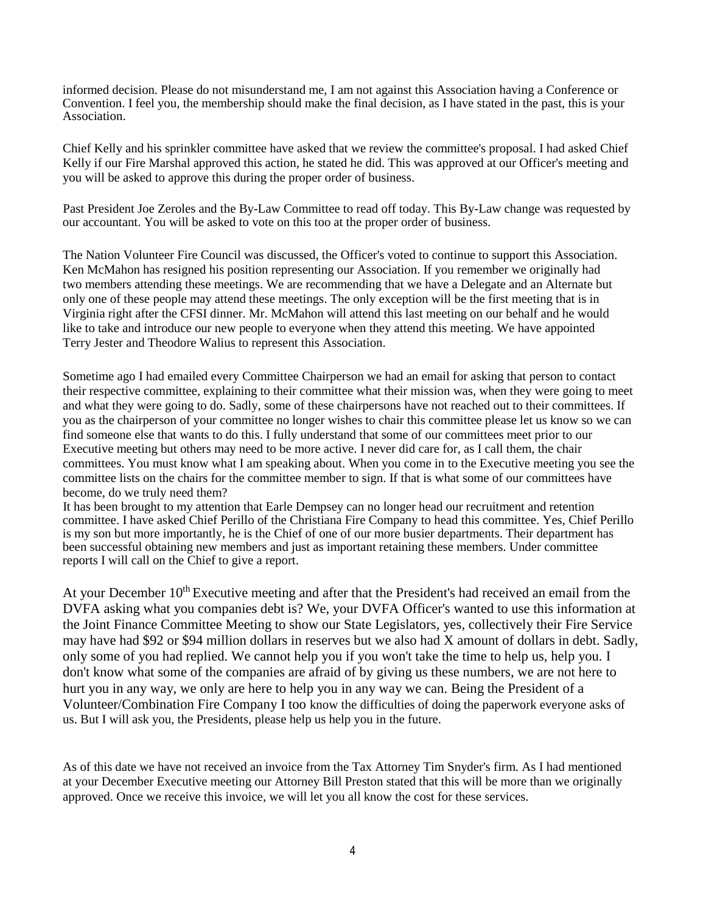informed decision. Please do not misunderstand me, I am not against this Association having a Conference or Convention. I feel you, the membership should make the final decision, as I have stated in the past, this is your Association.

Chief Kelly and his sprinkler committee have asked that we review the committee's proposal. I had asked Chief Kelly if our Fire Marshal approved this action, he stated he did. This was approved at our Officer's meeting and you will be asked to approve this during the proper order of business.

Past President Joe Zeroles and the By-Law Committee to read off today. This By-Law change was requested by our accountant. You will be asked to vote on this too at the proper order of business.

The Nation Volunteer Fire Council was discussed, the Officer's voted to continue to support this Association. Ken McMahon has resigned his position representing our Association. If you remember we originally had two members attending these meetings. We are recommending that we have a Delegate and an Alternate but only one of these people may attend these meetings. The only exception will be the first meeting that is in Virginia right after the CFSI dinner. Mr. McMahon will attend this last meeting on our behalf and he would like to take and introduce our new people to everyone when they attend this meeting. We have appointed Terry Jester and Theodore Walius to represent this Association.

Sometime ago I had emailed every Committee Chairperson we had an email for asking that person to contact their respective committee, explaining to their committee what their mission was, when they were going to meet and what they were going to do. Sadly, some of these chairpersons have not reached out to their committees. If you as the chairperson of your committee no longer wishes to chair this committee please let us know so we can find someone else that wants to do this. I fully understand that some of our committees meet prior to our Executive meeting but others may need to be more active. I never did care for, as I call them, the chair committees. You must know what I am speaking about. When you come in to the Executive meeting you see the committee lists on the chairs for the committee member to sign. If that is what some of our committees have become, do we truly need them?

It has been brought to my attention that Earle Dempsey can no longer head our recruitment and retention committee. I have asked Chief Perillo of the Christiana Fire Company to head this committee. Yes, Chief Perillo is my son but more importantly, he is the Chief of one of our more busier departments. Their department has been successful obtaining new members and just as important retaining these members. Under committee reports I will call on the Chief to give a report.

At your December 10<sup>th</sup> Executive meeting and after that the President's had received an email from the DVFA asking what you companies debt is? We, your DVFA Officer's wanted to use this information at the Joint Finance Committee Meeting to show our State Legislators, yes, collectively their Fire Service may have had \$92 or \$94 million dollars in reserves but we also had X amount of dollars in debt. Sadly, only some of you had replied. We cannot help you if you won't take the time to help us, help you. I don't know what some of the companies are afraid of by giving us these numbers, we are not here to hurt you in any way, we only are here to help you in any way we can. Being the President of a Volunteer/Combination Fire Company I too know the difficulties of doing the paperwork everyone asks of us. But I will ask you, the Presidents, please help us help you in the future.

As of this date we have not received an invoice from the Tax Attorney Tim Snyder's firm. As I had mentioned at your December Executive meeting our Attorney Bill Preston stated that this will be more than we originally approved. Once we receive this invoice, we will let you all know the cost for these services.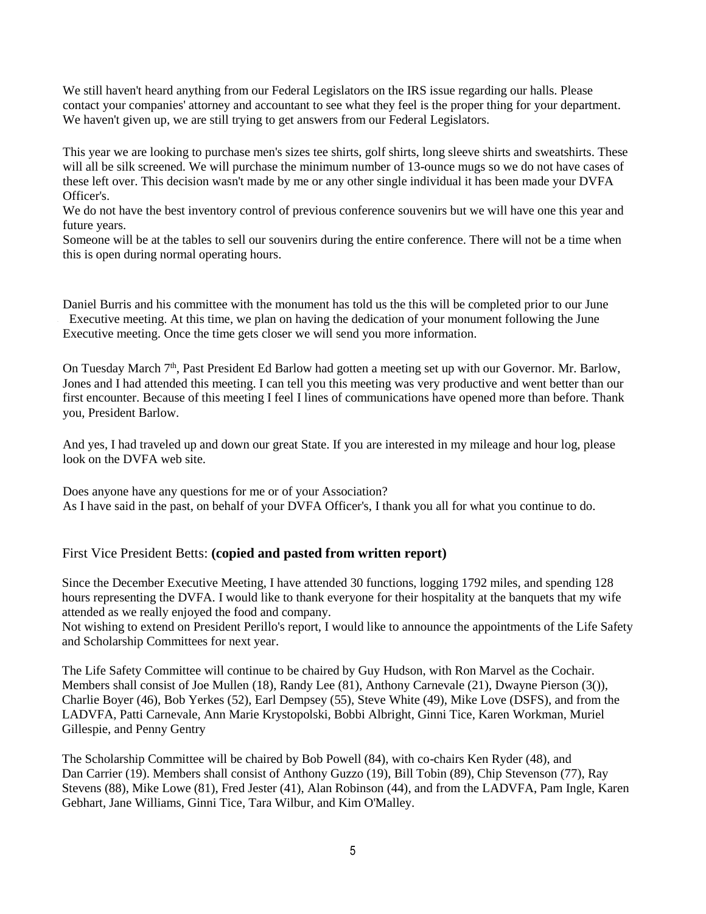We still haven't heard anything from our Federal Legislators on the IRS issue regarding our halls. Please contact your companies' attorney and accountant to see what they feel is the proper thing for your department. We haven't given up, we are still trying to get answers from our Federal Legislators.

This year we are looking to purchase men's sizes tee shirts, golf shirts, long sleeve shirts and sweatshirts. These will all be silk screened. We will purchase the minimum number of 13-ounce mugs so we do not have cases of these left over. This decision wasn't made by me or any other single individual it has been made your DVFA Officer's.

We do not have the best inventory control of previous conference souvenirs but we will have one this year and future years.

Someone will be at the tables to sell our souvenirs during the entire conference. There will not be a time when this is open during normal operating hours.

Daniel Burris and his committee with the monument has told us the this will be completed prior to our June Executive meeting. At this time, we plan on having the dedication of your monument following the June Executive meeting. Once the time gets closer we will send you more information.

On Tuesday March 7<sup>th</sup>, Past President Ed Barlow had gotten a meeting set up with our Governor. Mr. Barlow, Jones and I had attended this meeting. I can tell you this meeting was very productive and went better than our first encounter. Because of this meeting I feel I lines of communications have opened more than before. Thank you, President Barlow.

And yes, I had traveled up and down our great State. If you are interested in my mileage and hour log, please look on the DVFA web site.

Does anyone have any questions for me or of your Association? As I have said in the past, on behalf of your DVFA Officer's, I thank you all for what you continue to do.

#### First Vice President Betts: **(copied and pasted from written report)**

Since the December Executive Meeting, I have attended 30 functions, logging 1792 miles, and spending 128 hours representing the DVFA. I would like to thank everyone for their hospitality at the banquets that my wife attended as we really enjoyed the food and company.

Not wishing to extend on President Perillo's report, I would like to announce the appointments of the Life Safety and Scholarship Committees for next year.

The Life Safety Committee will continue to be chaired by Guy Hudson, with Ron Marvel as the Cochair. Members shall consist of Joe Mullen (18), Randy Lee (81), Anthony Carnevale (21), Dwayne Pierson (3()), Charlie Boyer (46), Bob Yerkes (52), Earl Dempsey (55), Steve White (49), Mike Love (DSFS), and from the LADVFA, Patti Carnevale, Ann Marie Krystopolski, Bobbi Albright, Ginni Tice, Karen Workman, Muriel Gillespie, and Penny Gentry

The Scholarship Committee will be chaired by Bob Powell (84), with co-chairs Ken Ryder (48), and Dan Carrier (19). Members shall consist of Anthony Guzzo (19), Bill Tobin (89), Chip Stevenson (77), Ray Stevens (88), Mike Lowe (81), Fred Jester (41), Alan Robinson (44), and from the LADVFA, Pam Ingle, Karen Gebhart, Jane Williams, Ginni Tice, Tara Wilbur, and Kim O'Malley.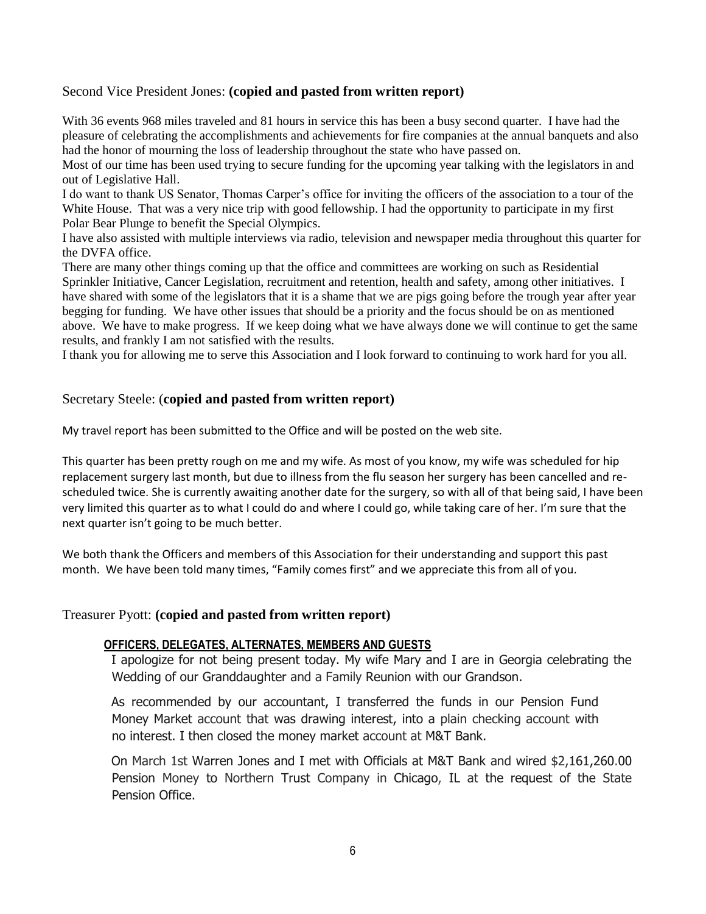#### Second Vice President Jones: **(copied and pasted from written report)**

With 36 events 968 miles traveled and 81 hours in service this has been a busy second quarter. I have had the pleasure of celebrating the accomplishments and achievements for fire companies at the annual banquets and also had the honor of mourning the loss of leadership throughout the state who have passed on.

Most of our time has been used trying to secure funding for the upcoming year talking with the legislators in and out of Legislative Hall.

I do want to thank US Senator, Thomas Carper's office for inviting the officers of the association to a tour of the White House. That was a very nice trip with good fellowship. I had the opportunity to participate in my first Polar Bear Plunge to benefit the Special Olympics.

I have also assisted with multiple interviews via radio, television and newspaper media throughout this quarter for the DVFA office.

There are many other things coming up that the office and committees are working on such as Residential Sprinkler Initiative, Cancer Legislation, recruitment and retention, health and safety, among other initiatives. I have shared with some of the legislators that it is a shame that we are pigs going before the trough year after year begging for funding. We have other issues that should be a priority and the focus should be on as mentioned above. We have to make progress. If we keep doing what we have always done we will continue to get the same results, and frankly I am not satisfied with the results.

I thank you for allowing me to serve this Association and I look forward to continuing to work hard for you all.

#### Secretary Steele: (**copied and pasted from written report)**

My travel report has been submitted to the Office and will be posted on the web site.

This quarter has been pretty rough on me and my wife. As most of you know, my wife was scheduled for hip replacement surgery last month, but due to illness from the flu season her surgery has been cancelled and rescheduled twice. She is currently awaiting another date for the surgery, so with all of that being said, I have been very limited this quarter as to what I could do and where I could go, while taking care of her. I'm sure that the next quarter isn't going to be much better.

We both thank the Officers and members of this Association for their understanding and support this past month. We have been told many times, "Family comes first" and we appreciate this from all of you.

#### Treasurer Pyott: **(copied and pasted from written report)**

#### **OFFICERS, DELEGATES, ALTERNATES, MEMBERS AND GUESTS**

I apologize for not being present today. My wife Mary and I are in Georgia celebrating the Wedding of our Granddaughter and a Family Reunion with our Grandson.

As recommended by our accountant, I transferred the funds in our Pension Fund Money Market account that was drawing interest, into a plain checking account with no interest. I then closed the money market account at M&T Bank.

On March 1st Warren Jones and I met with Officials at M&T Bank and wired \$2,161,260.00 Pension Money to Northern Trust Company in Chicago, IL at the request of the State Pension Office.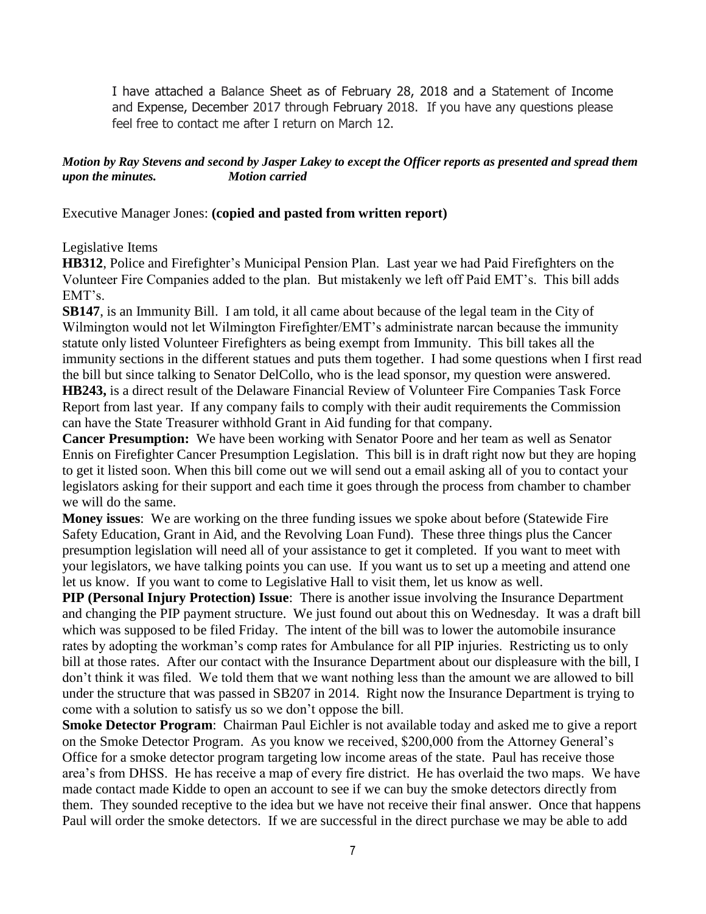I have attached a Balance Sheet as of February 28, 2018 and a Statement of Income and Expense, December 2017 through February 2018. If you have any questions please feel free to contact me after I return on March 12.

#### *Motion by Ray Stevens and second by Jasper Lakey to except the Officer reports as presented and spread them upon the minutes. Motion carried*

Executive Manager Jones: **(copied and pasted from written report)**

## Legislative Items

**HB312**, Police and Firefighter's Municipal Pension Plan. Last year we had Paid Firefighters on the Volunteer Fire Companies added to the plan. But mistakenly we left off Paid EMT's. This bill adds EMT's.

**SB147**, is an Immunity Bill. I am told, it all came about because of the legal team in the City of Wilmington would not let Wilmington Firefighter/EMT's administrate narcan because the immunity statute only listed Volunteer Firefighters as being exempt from Immunity. This bill takes all the immunity sections in the different statues and puts them together. I had some questions when I first read the bill but since talking to Senator DelCollo, who is the lead sponsor, my question were answered. **HB243,** is a direct result of the Delaware Financial Review of Volunteer Fire Companies Task Force Report from last year. If any company fails to comply with their audit requirements the Commission can have the State Treasurer withhold Grant in Aid funding for that company.

**Cancer Presumption:** We have been working with Senator Poore and her team as well as Senator Ennis on Firefighter Cancer Presumption Legislation. This bill is in draft right now but they are hoping to get it listed soon. When this bill come out we will send out a email asking all of you to contact your legislators asking for their support and each time it goes through the process from chamber to chamber we will do the same.

**Money issues**: We are working on the three funding issues we spoke about before (Statewide Fire Safety Education, Grant in Aid, and the Revolving Loan Fund). These three things plus the Cancer presumption legislation will need all of your assistance to get it completed. If you want to meet with your legislators, we have talking points you can use. If you want us to set up a meeting and attend one let us know. If you want to come to Legislative Hall to visit them, let us know as well.

**PIP (Personal Injury Protection) Issue**: There is another issue involving the Insurance Department and changing the PIP payment structure. We just found out about this on Wednesday. It was a draft bill which was supposed to be filed Friday. The intent of the bill was to lower the automobile insurance rates by adopting the workman's comp rates for Ambulance for all PIP injuries. Restricting us to only bill at those rates. After our contact with the Insurance Department about our displeasure with the bill, I don't think it was filed. We told them that we want nothing less than the amount we are allowed to bill under the structure that was passed in SB207 in 2014. Right now the Insurance Department is trying to come with a solution to satisfy us so we don't oppose the bill.

**Smoke Detector Program**: Chairman Paul Eichler is not available today and asked me to give a report on the Smoke Detector Program. As you know we received, \$200,000 from the Attorney General's Office for a smoke detector program targeting low income areas of the state. Paul has receive those area's from DHSS. He has receive a map of every fire district. He has overlaid the two maps. We have made contact made Kidde to open an account to see if we can buy the smoke detectors directly from them. They sounded receptive to the idea but we have not receive their final answer. Once that happens Paul will order the smoke detectors. If we are successful in the direct purchase we may be able to add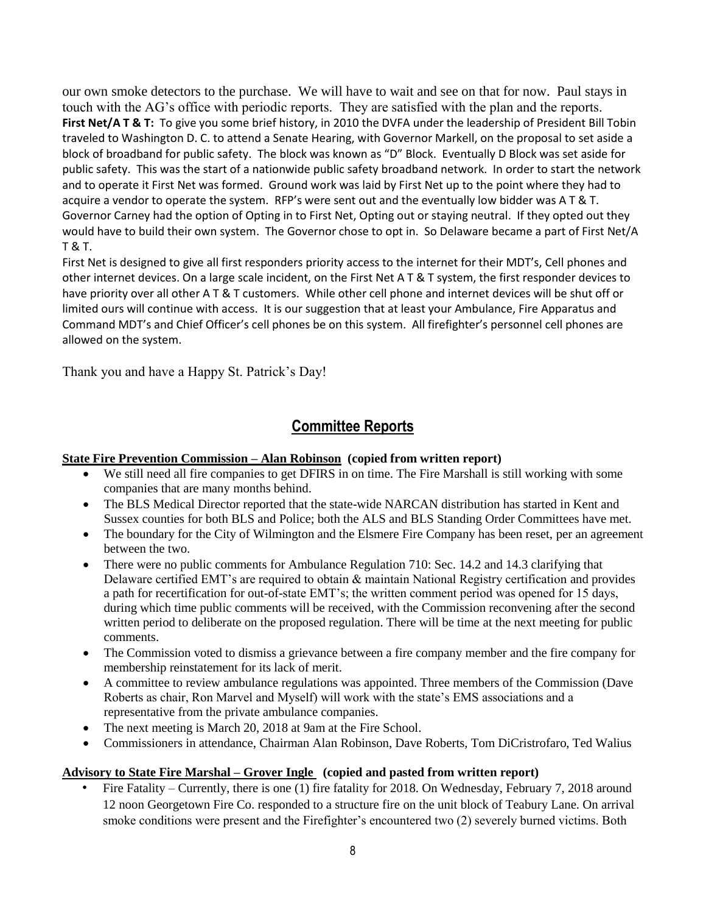our own smoke detectors to the purchase. We will have to wait and see on that for now. Paul stays in touch with the AG's office with periodic reports. They are satisfied with the plan and the reports. **First Net/A T & T:** To give you some brief history, in 2010 the DVFA under the leadership of President Bill Tobin traveled to Washington D. C. to attend a Senate Hearing, with Governor Markell, on the proposal to set aside a block of broadband for public safety. The block was known as "D" Block. Eventually D Block was set aside for public safety. This was the start of a nationwide public safety broadband network. In order to start the network and to operate it First Net was formed. Ground work was laid by First Net up to the point where they had to acquire a vendor to operate the system. RFP's were sent out and the eventually low bidder was A T & T. Governor Carney had the option of Opting in to First Net, Opting out or staying neutral. If they opted out they would have to build their own system. The Governor chose to opt in. So Delaware became a part of First Net/A T & T.

First Net is designed to give all first responders priority access to the internet for their MDT's, Cell phones and other internet devices. On a large scale incident, on the First Net A T & T system, the first responder devices to have priority over all other A T & T customers. While other cell phone and internet devices will be shut off or limited ours will continue with access. It is our suggestion that at least your Ambulance, Fire Apparatus and Command MDT's and Chief Officer's cell phones be on this system. All firefighter's personnel cell phones are allowed on the system.

Thank you and have a Happy St. Patrick's Day!

# **Committee Reports**

#### **State Fire Prevention Commission – Alan Robinson (copied from written report)**

- We still need all fire companies to get DFIRS in on time. The Fire Marshall is still working with some companies that are many months behind.
- The BLS Medical Director reported that the state-wide NARCAN distribution has started in Kent and Sussex counties for both BLS and Police; both the ALS and BLS Standing Order Committees have met.
- The boundary for the City of Wilmington and the Elsmere Fire Company has been reset, per an agreement between the two.
- There were no public comments for Ambulance Regulation 710: Sec. 14.2 and 14.3 clarifying that Delaware certified EMT's are required to obtain & maintain National Registry certification and provides a path for recertification for out-of-state EMT's; the written comment period was opened for 15 days, during which time public comments will be received, with the Commission reconvening after the second written period to deliberate on the proposed regulation. There will be time at the next meeting for public comments.
- The Commission voted to dismiss a grievance between a fire company member and the fire company for membership reinstatement for its lack of merit.
- A committee to review ambulance regulations was appointed. Three members of the Commission (Dave Roberts as chair, Ron Marvel and Myself) will work with the state's EMS associations and a representative from the private ambulance companies.
- The next meeting is March 20, 2018 at 9am at the Fire School.
- Commissioners in attendance, Chairman Alan Robinson, Dave Roberts, Tom DiCristrofaro, Ted Walius

#### **Advisory to State Fire Marshal – Grover Ingle (copied and pasted from written report)**

• Fire Fatality – Currently, there is one (1) fire fatality for 2018. On Wednesday, February 7, 2018 around 12 noon Georgetown Fire Co. responded to a structure fire on the unit block of Teabury Lane. On arrival smoke conditions were present and the Firefighter's encountered two (2) severely burned victims. Both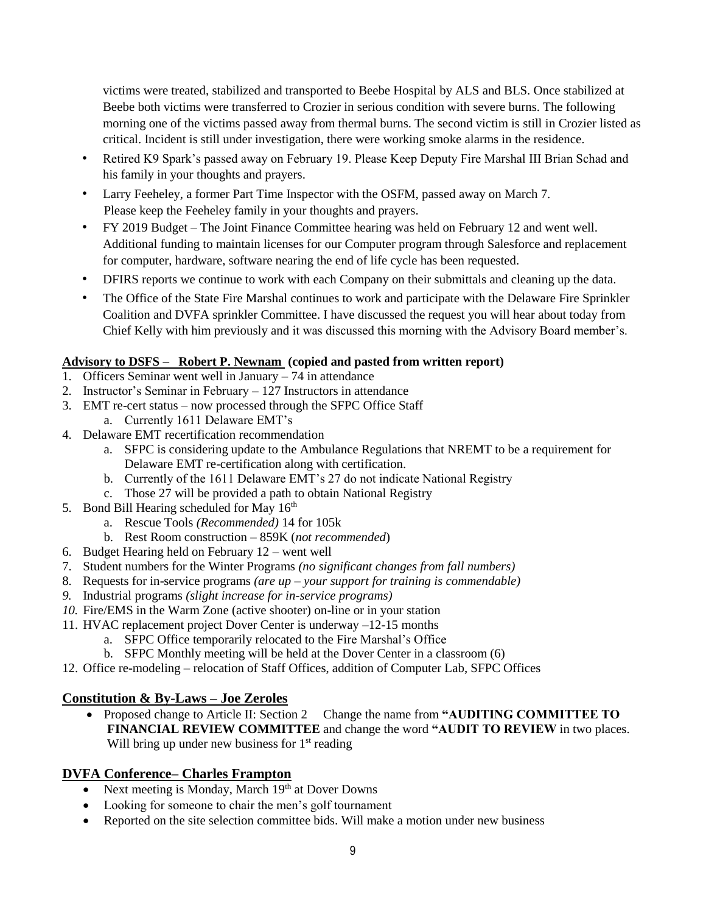victims were treated, stabilized and transported to Beebe Hospital by ALS and BLS. Once stabilized at Beebe both victims were transferred to Crozier in serious condition with severe burns. The following morning one of the victims passed away from thermal burns. The second victim is still in Crozier listed as critical. Incident is still under investigation, there were working smoke alarms in the residence.

- Retired K9 Spark's passed away on February 19. Please Keep Deputy Fire Marshal III Brian Schad and his family in your thoughts and prayers.
- Larry Feeheley, a former Part Time Inspector with the OSFM, passed away on March 7. Please keep the Feeheley family in your thoughts and prayers.
- FY 2019 Budget The Joint Finance Committee hearing was held on February 12 and went well. Additional funding to maintain licenses for our Computer program through Salesforce and replacement for computer, hardware, software nearing the end of life cycle has been requested.
- DFIRS reports we continue to work with each Company on their submittals and cleaning up the data.
- The Office of the State Fire Marshal continues to work and participate with the Delaware Fire Sprinkler Coalition and DVFA sprinkler Committee. I have discussed the request you will hear about today from Chief Kelly with him previously and it was discussed this morning with the Advisory Board member's.

## **Advisory to DSFS – Robert P. Newnam (copied and pasted from written report)**

- 1. Officers Seminar went well in January 74 in attendance
- 2. Instructor's Seminar in February 127 Instructors in attendance
- 3. EMT re-cert status now processed through the SFPC Office Staff
	- a. Currently 1611 Delaware EMT's
- 4. Delaware EMT recertification recommendation
	- a. SFPC is considering update to the Ambulance Regulations that NREMT to be a requirement for Delaware EMT re-certification along with certification.
	- b. Currently of the 1611 Delaware EMT's 27 do not indicate National Registry
	- c. Those 27 will be provided a path to obtain National Registry
- 5. Bond Bill Hearing scheduled for May 16<sup>th</sup>
	- a. Rescue Tools *(Recommended)* 14 for 105k
	- b. Rest Room construction 859K (*not recommended*)
- 6. Budget Hearing held on February 12 went well
- 7. Student numbers for the Winter Programs *(no significant changes from fall numbers)*
- 8. Requests for in-service programs *(are up – your support for training is commendable)*
- *9.* Industrial programs *(slight increase for in-service programs)*
- *10.* Fire/EMS in the Warm Zone (active shooter) on-line or in your station
- 11. HVAC replacement project Dover Center is underway –12-15 months
	- a. SFPC Office temporarily relocated to the Fire Marshal's Office
		- b. SFPC Monthly meeting will be held at the Dover Center in a classroom (6)
- 12. Office re-modeling relocation of Staff Offices, addition of Computer Lab, SFPC Offices

## **Constitution & By-Laws – Joe Zeroles**

• Proposed change to Article II: Section 2 Change the name from **"AUDITING COMMITTEE TO FINANCIAL REVIEW COMMITTEE** and change the word **"AUDIT TO REVIEW** in two places. Will bring up under new business for  $1<sup>st</sup>$  reading

## **DVFA Conference– Charles Frampton**

- Next meeting is Monday, March  $19<sup>th</sup>$  at Dover Downs
- Looking for someone to chair the men's golf tournament
- Reported on the site selection committee bids. Will make a motion under new business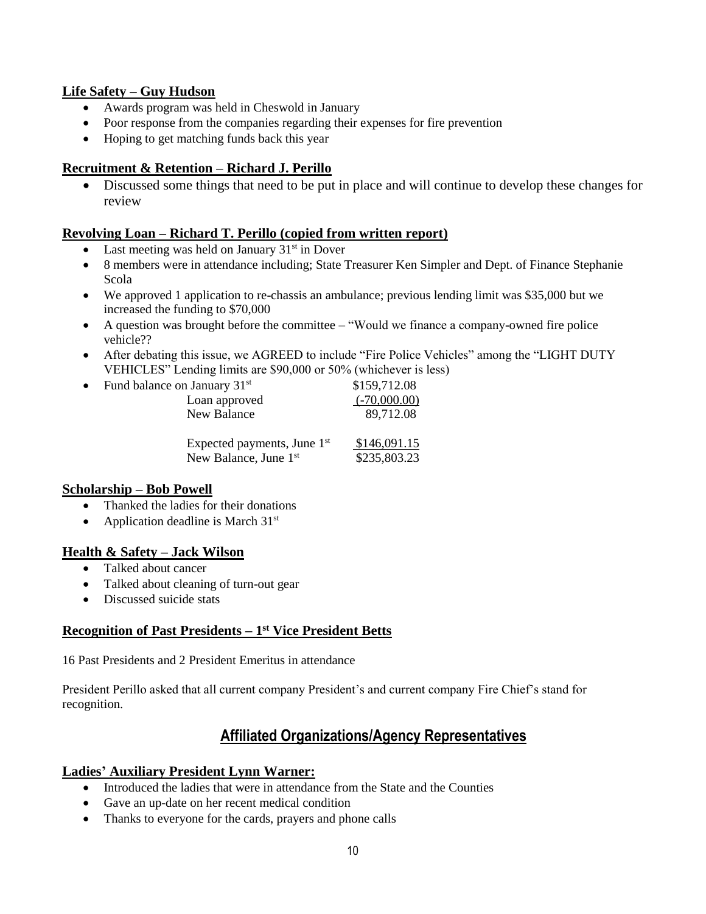## **Life Safety – Guy Hudson**

- Awards program was held in Cheswold in January
- Poor response from the companies regarding their expenses for fire prevention
- Hoping to get matching funds back this year

## **Recruitment & Retention – Richard J. Perillo**

• Discussed some things that need to be put in place and will continue to develop these changes for review

## **Revolving Loan – Richard T. Perillo (copied from written report)**

- Last meeting was held on January  $31<sup>st</sup>$  in Dover
- 8 members were in attendance including; State Treasurer Ken Simpler and Dept. of Finance Stephanie Scola
- We approved 1 application to re-chassis an ambulance; previous lending limit was \$35,000 but we increased the funding to \$70,000
- A question was brought before the committee "Would we finance a company-owned fire police vehicle??
- After debating this issue, we AGREED to include "Fire Police Vehicles" among the "LIGHT DUTY VEHICLES" Lending limits are \$90,000 or 50% (whichever is less)

| $\bullet$ | Fund balance on January 31 <sup>st</sup><br>Loan approved<br>New Balance     | \$159,712.08<br>$(-70,000.00)$<br>89,712.08 |
|-----------|------------------------------------------------------------------------------|---------------------------------------------|
|           | Expected payments, June 1 <sup>st</sup><br>New Balance. June 1 <sup>st</sup> | \$146,091.15<br>\$235,803.23                |

#### **Scholarship – Bob Powell**

- Thanked the ladies for their donations
- Application deadline is March  $31<sup>st</sup>$

#### **Health & Safety – Jack Wilson**

- Talked about cancer
- Talked about cleaning of turn-out gear
- Discussed suicide stats

## **Recognition of Past Presidents – 1 st Vice President Betts**

16 Past Presidents and 2 President Emeritus in attendance

President Perillo asked that all current company President's and current company Fire Chief's stand for recognition.

# **Affiliated Organizations/Agency Representatives**

#### **Ladies' Auxiliary President Lynn Warner:**

- Introduced the ladies that were in attendance from the State and the Counties
- Gave an up-date on her recent medical condition
- Thanks to everyone for the cards, prayers and phone calls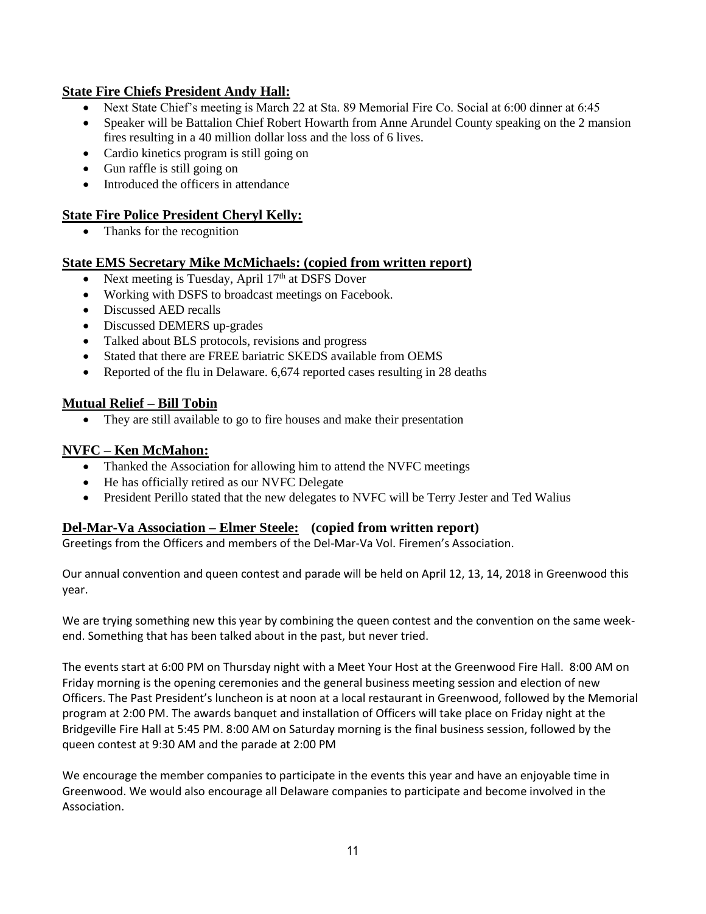## **State Fire Chiefs President Andy Hall:**

- Next State Chief's meeting is March 22 at Sta. 89 Memorial Fire Co. Social at 6:00 dinner at 6:45
- Speaker will be Battalion Chief Robert Howarth from Anne Arundel County speaking on the 2 mansion fires resulting in a 40 million dollar loss and the loss of 6 lives.
- Cardio kinetics program is still going on
- Gun raffle is still going on
- Introduced the officers in attendance

## **State Fire Police President Cheryl Kelly:**

• Thanks for the recognition

## **State EMS Secretary Mike McMichaels: (copied from written report)**

- Next meeting is Tuesday, April  $17<sup>th</sup>$  at DSFS Dover
- Working with DSFS to broadcast meetings on Facebook.
- Discussed AED recalls
- Discussed DEMERS up-grades
- Talked about BLS protocols, revisions and progress
- Stated that there are FREE bariatric SKEDS available from OEMS
- Reported of the flu in Delaware. 6,674 reported cases resulting in 28 deaths

## **Mutual Relief – Bill Tobin**

• They are still available to go to fire houses and make their presentation

## **NVFC – Ken McMahon:**

- Thanked the Association for allowing him to attend the NVFC meetings
- He has officially retired as our NVFC Delegate
- President Perillo stated that the new delegates to NVFC will be Terry Jester and Ted Walius

## **Del-Mar-Va Association – Elmer Steele: (copied from written report)**

Greetings from the Officers and members of the Del-Mar-Va Vol. Firemen's Association.

Our annual convention and queen contest and parade will be held on April 12, 13, 14, 2018 in Greenwood this year.

We are trying something new this year by combining the queen contest and the convention on the same weekend. Something that has been talked about in the past, but never tried.

The events start at 6:00 PM on Thursday night with a Meet Your Host at the Greenwood Fire Hall. 8:00 AM on Friday morning is the opening ceremonies and the general business meeting session and election of new Officers. The Past President's luncheon is at noon at a local restaurant in Greenwood, followed by the Memorial program at 2:00 PM. The awards banquet and installation of Officers will take place on Friday night at the Bridgeville Fire Hall at 5:45 PM. 8:00 AM on Saturday morning is the final business session, followed by the queen contest at 9:30 AM and the parade at 2:00 PM

We encourage the member companies to participate in the events this year and have an enjoyable time in Greenwood. We would also encourage all Delaware companies to participate and become involved in the Association.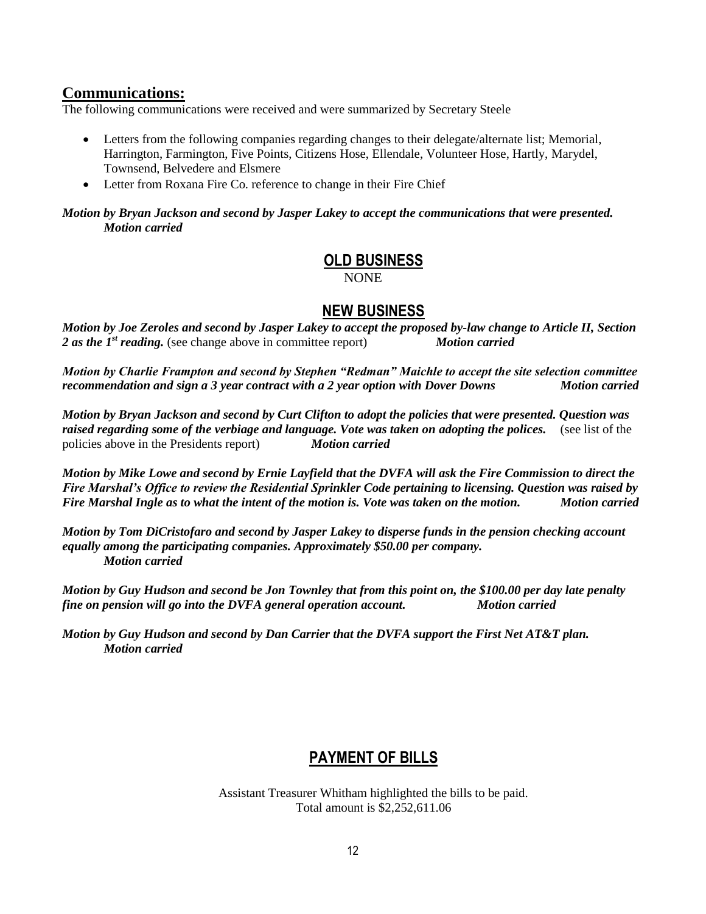## **Communications:**

The following communications were received and were summarized by Secretary Steele

- Letters from the following companies regarding changes to their delegate/alternate list; Memorial, Harrington, Farmington, Five Points, Citizens Hose, Ellendale, Volunteer Hose, Hartly, Marydel, Townsend, Belvedere and Elsmere
- Letter from Roxana Fire Co. reference to change in their Fire Chief

#### *Motion by Bryan Jackson and second by Jasper Lakey to accept the communications that were presented. Motion carried*

# **OLD BUSINESS**

NONE

## **NEW BUSINESS**

*Motion by Joe Zeroles and second by Jasper Lakey to accept the proposed by-law change to Article II, Section 2 as the 1st reading.* (see change above in committee report) *Motion carried*

*Motion by Charlie Frampton and second by Stephen "Redman" Maichle to accept the site selection committee recommendation and sign a 3 year contract with a 2 year option with Dover Downs Motion carried*

*Motion by Bryan Jackson and second by Curt Clifton to adopt the policies that were presented. Question was*  raised regarding some of the verbiage and language. Vote was taken on adopting the polices. (see list of the policies above in the Presidents report) *Motion carried*

*Motion by Mike Lowe and second by Ernie Layfield that the DVFA will ask the Fire Commission to direct the Fire Marshal's Office to review the Residential Sprinkler Code pertaining to licensing. Question was raised by Fire Marshal Ingle as to what the intent of the motion is. Vote was taken on the motion. Motion carried*

*Motion by Tom DiCristofaro and second by Jasper Lakey to disperse funds in the pension checking account equally among the participating companies. Approximately \$50.00 per company. Motion carried* 

*Motion by Guy Hudson and second be Jon Townley that from this point on, the \$100.00 per day late penalty fine on pension will go into the DVFA general operation account. Motion carried*

*Motion by Guy Hudson and second by Dan Carrier that the DVFA support the First Net AT&T plan. Motion carried* 

# **PAYMENT OF BILLS**

Assistant Treasurer Whitham highlighted the bills to be paid. Total amount is \$2,252,611.06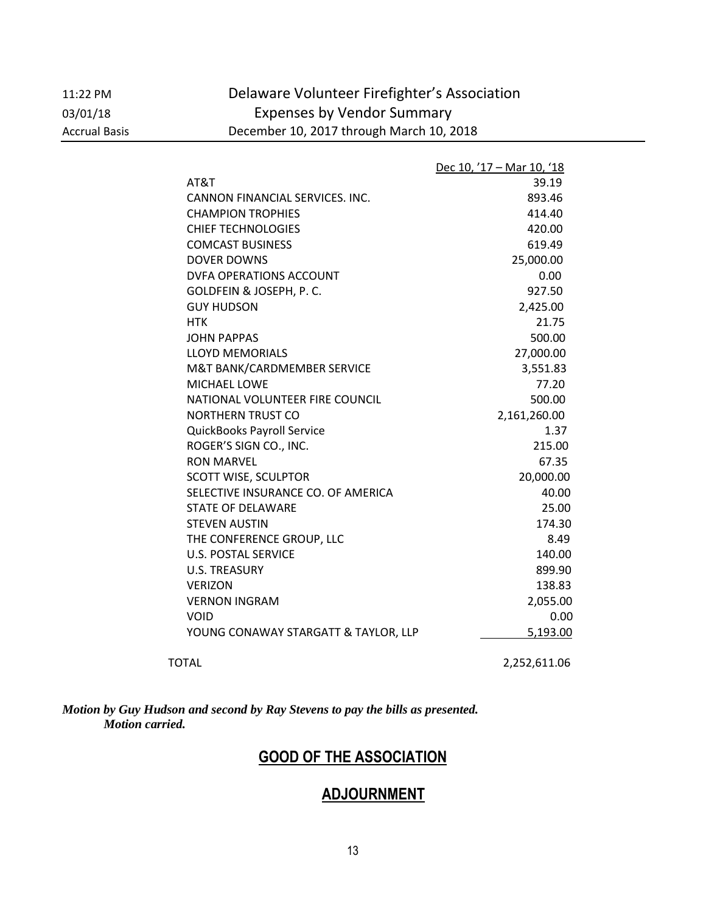11:22 PM Delaware Volunteer Firefighter's Association 03/01/18 Expenses by Vendor Summary Accrual Basis December 10, 2017 through March 10, 2018

|                                      | Dec 10, '17 - Mar 10, '18 |
|--------------------------------------|---------------------------|
| AT&T                                 | 39.19                     |
| CANNON FINANCIAL SERVICES. INC.      | 893.46                    |
| <b>CHAMPION TROPHIES</b>             | 414.40                    |
| <b>CHIEF TECHNOLOGIES</b>            | 420.00                    |
| <b>COMCAST BUSINESS</b>              | 619.49                    |
| <b>DOVER DOWNS</b>                   | 25,000.00                 |
| DVFA OPERATIONS ACCOUNT              | 0.00                      |
| GOLDFEIN & JOSEPH, P. C.             | 927.50                    |
| <b>GUY HUDSON</b>                    | 2,425.00                  |
| <b>HTK</b>                           | 21.75                     |
| <b>JOHN PAPPAS</b>                   | 500.00                    |
| <b>LLOYD MEMORIALS</b>               | 27,000.00                 |
| M&T BANK/CARDMEMBER SERVICE          | 3,551.83                  |
| <b>MICHAEL LOWE</b>                  | 77.20                     |
| NATIONAL VOLUNTEER FIRE COUNCIL      | 500.00                    |
| NORTHERN TRUST CO                    | 2,161,260.00              |
| QuickBooks Payroll Service           | 1.37                      |
| ROGER'S SIGN CO., INC.               | 215.00                    |
| <b>RON MARVEL</b>                    | 67.35                     |
| <b>SCOTT WISE, SCULPTOR</b>          | 20,000.00                 |
| SELECTIVE INSURANCE CO. OF AMERICA   | 40.00                     |
| <b>STATE OF DELAWARE</b>             | 25.00                     |
| <b>STEVEN AUSTIN</b>                 | 174.30                    |
| THE CONFERENCE GROUP, LLC            | 8.49                      |
| <b>U.S. POSTAL SERVICE</b>           | 140.00                    |
| <b>U.S. TREASURY</b>                 | 899.90                    |
| <b>VERIZON</b>                       | 138.83                    |
| <b>VERNON INGRAM</b>                 | 2,055.00                  |
| <b>VOID</b>                          | 0.00                      |
| YOUNG CONAWAY STARGATT & TAYLOR, LLP | 5,193.00                  |
|                                      |                           |

TOTAL 2,252,611.06

*Motion by Guy Hudson and second by Ray Stevens to pay the bills as presented. Motion carried.* 

# **GOOD OF THE ASSOCIATION**

# **ADJOURNMENT**